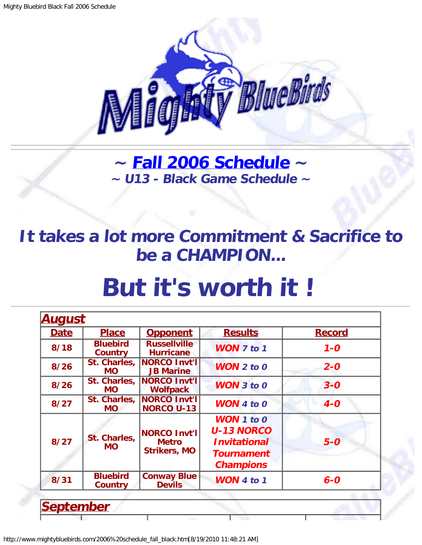

**~ [Fall 2006 Schedule](#page-0-0) ~ ~ U13 - Black Game Schedule ~**

<span id="page-0-1"></span>**It takes a lot more Commitment & Sacrifice to be a CHAMPION...**

## **But it's worth it !**

| <b>Date</b> | <b>Place</b>               | <b>Opponent</b>                                            | <b>Results</b>                                                                                                    | <b>Record</b> |
|-------------|----------------------------|------------------------------------------------------------|-------------------------------------------------------------------------------------------------------------------|---------------|
| 8/18        | <b>Bluebird</b><br>Country | <b>Russellville</b><br><b>Hurricane</b>                    | <b>WON</b> 7 to 1                                                                                                 | $1 - 0$       |
| 8/26        | St. Charles,<br><b>MO</b>  | NORCO Invt'l<br><b>JB Marine</b>                           | $WON$ 2 to 0                                                                                                      | $2 - 0$       |
| 8/26        | St. Charles,<br><b>MO</b>  | NORCO Invt'l<br><b>Wolfpack</b>                            | <b>WON 3 to 0</b>                                                                                                 | $3 - 0$       |
| 8/27        | St. Charles,<br><b>MO</b>  | <b>NORCO Invt'l</b><br><b>NORCO U-13</b>                   | <b>WON</b> $4$ to $0$                                                                                             | $4-0$         |
| 8/27        | St. Charles,<br><b>MO</b>  | <b>NORCO Invt'l</b><br><b>Metro</b><br><b>Strikers, MO</b> | <b>WON</b> $1$ to $0$<br><b>U-13 NORCO</b><br><i><b>Invitational</b></i><br><b>Tournament</b><br><b>Champions</b> | $5-0$         |
| 8/31        | <b>Bluebird</b><br>Country | <b>Conway Blue</b><br><b>Devils</b>                        | <b>WON</b> 4 to 1                                                                                                 | $6 - 0$       |

<span id="page-0-0"></span>http://www.mightybluebirds.com/2006%20schedule\_fall\_black.htm[8/19/2010 11:48:21 AM]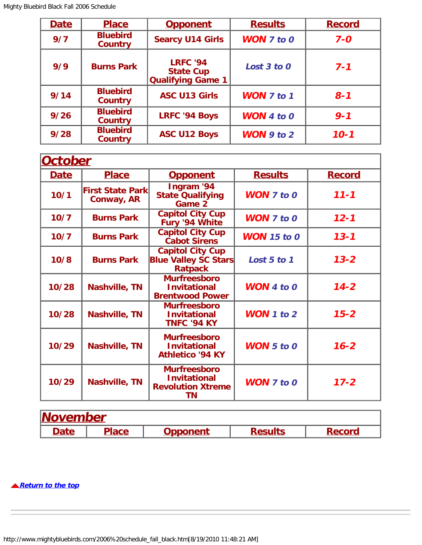| <b>Date</b> | <b>Place</b>                      | <b>Opponent</b>                                                 | <b>Results</b>        | <b>Record</b> |
|-------------|-----------------------------------|-----------------------------------------------------------------|-----------------------|---------------|
| 9/7         | <b>Bluebird</b><br><b>Country</b> | <b>Searcy U14 Girls</b>                                         | <b>WON</b> $7$ to $0$ | $7 - 0$       |
| 9/9         | <b>Burns Park</b>                 | <b>LRFC '94</b><br><b>State Cup</b><br><b>Qualifying Game 1</b> | Lost 3 to 0           | $7 - 1$       |
| 9/14        | <b>Bluebird</b><br><b>Country</b> | <b>ASC U13 Girls</b>                                            | <b>WON 7 to 1</b>     | $8 - 1$       |
| 9/26        | <b>Bluebird</b><br><b>Country</b> | <b>LRFC '94 Boys</b>                                            | <b>WON</b> 4 to $0$   | $9 - 1$       |
| 9/28        | <b>Bluebird</b><br><b>Country</b> | <b>ASC U12 Boys</b>                                             | WON $9$ to $2$        | $10 - 1$      |

| <b>October</b> |                                        |                                                                                     |                       |               |
|----------------|----------------------------------------|-------------------------------------------------------------------------------------|-----------------------|---------------|
| <b>Date</b>    | <b>Place</b>                           | <b>Opponent</b>                                                                     | <b>Results</b>        | <b>Record</b> |
| 10/1           | <b>First State Parkl</b><br>Conway, AR | Ingram '94<br><b>State Qualifying</b><br>Game 2                                     | <b>WON</b> $7$ to $0$ | $11 - 1$      |
| 10/7           | <b>Burns Park</b>                      | <b>Capitol City Cup</b><br>Fury '94 White                                           | <b>WON</b> $7$ to $0$ | $12 - 1$      |
| 10/7           | <b>Burns Park</b>                      | <b>Capitol City Cup</b><br><b>Cabot Sirens</b>                                      | <b>WON</b> 15 to 0    | $13 - 1$      |
| 10/8           | <b>Burns Park</b>                      | <b>Capitol City Cup</b><br><b>Blue Valley SC Stars</b><br><b>Ratpack</b>            | Lost 5 to 1           | $13 - 2$      |
| 10/28          | <b>Nashville, TN</b>                   | <b>Murfreesboro</b><br><b>Invitational</b><br><b>Brentwood Power</b>                | <b>WON</b> 4 to $0$   | $14 - 2$      |
| 10/28          | <b>Nashville, TN</b>                   | <b>Murfreesboro</b><br><b>Invitational</b><br><b>TNFC '94 KY</b>                    | WON 1 to $2$          | $15 - 2$      |
| 10/29          | <b>Nashville, TN</b>                   | <b>Murfreesboro</b><br><b>Invitational</b><br><b>Athletico '94 KY</b>               | <b>WON</b> $5$ to $0$ | $16 - 2$      |
| 10/29          | <b>Nashville, TN</b>                   | <b>Murfreesboro</b><br><b>Invitational</b><br><b>Revolution Xtreme</b><br><b>TN</b> | <b>WON 7 to 0</b>     | $17 - 2$      |

| <b>November</b> |              |                 |                |               |  |  |
|-----------------|--------------|-----------------|----------------|---------------|--|--|
| <b>Date</b>     | <b>Place</b> | <b>Opponent</b> | <b>Results</b> | <b>Record</b> |  |  |

**[Return to the top](#page-0-1)**